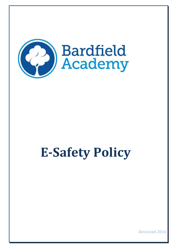

# **E-Safety Policy**

Reviewed 2016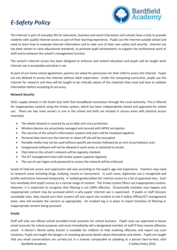## *E-Safety Policy*



The Internet is part of everyday life for education, business and social interaction and schools have a duty to provide students with quality Internet access as part of their learning experience. Pupils use the Internet outside school and need to learn how to evaluate Internet information and to take care of their own safety and security. Internet use has been shown to raise educational standards, to promote pupil achievement, to support the professional work of staff and to enhance the school's management function.

The school's Internet access has been designed to enhance and extend education and pupils will be taught what Internet use is acceptable and what is not.

As part of our home school agreement, parents are asked for permission for their child to access the Internet. Pupils are not allowed to access the Internet without adult supervision. Under the computing curriculum, pupils use the Internet for research and they will be taught to be critically aware of the materials they read and how to validate information before accepting its accuracy.

#### **Network Security**

DUCL supply schools in the South East with their broadband connection through the Local Authority. This is filtered for inappropriate content using the Protex system, which has been independently tested and approved for school use. There are two main servers in use in the school and both are located in secure areas with physical access restricted.

- The whole network is covered by up to date anti-virus protection.
- Wireless devices are proactively managed and secured with WPA2 encryption.
- The security of the school's information systems and users will be reviewed regularly.
- Personal data sent over the internet or taken off site will be encrypted.
- Portable media may not be used without specific permission followed by an anti-virus/malware scan.
- Unapproved software will not be allowed in work areas or attached to emails.
- Files held on the school's network will be regularly checked.
- The ICT management team will review system capacity regularly.
- The use of user logins and passwords to access the network will be enforced.

Levels of Internet access and supervision will vary according to the pupil's age and experience. Teachers may need to research areas including drugs, bullying, racism or harassment. In such cases, legitimate use is recognised and profile restrictions removed temporarily. A 'walled garden/allow list' restricts access to a list of approved sites. Such lists inevitably limit pupil's access to a narrow range of content. The Protex system filters out inappropriate content. However, it is important to recognise that filtering is not 100% effective. Occasionally mistakes may happen and inappropriate content may be accessed which is why pupils' internet use is supervised. If pupils or staff discover unsuitable sites, they should turn their screens off and report the incident to the E-Safety Officer/ICT management team, who will escalate the concern as appropriate. An incident log is in place to report breaches of filtering or inappropriate content being accessed.

#### **Emails**

Bardfield Academy **E-Safety Policy 2016** Staff will only use official school provided email accounts for school business. Pupils only use approved in-house email accounts for school purposes and must immediately tell a designated member of staff if they receive offensive email. A Hector's World safety button is available for children to hide anything offensive and report any such instances. Pupils are taught the dangers of revealing personal details about themselves and others. Pupils are taught that any email conversations are carried out in a manner comparable to speaking to a person face-to-face, with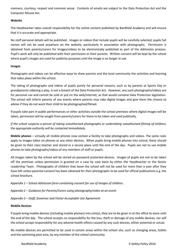manners, courtesy, respect and common sense. Contents of emails are subject to the Data Protection Act and the Computer Misuse Act.

#### **Website**

The Headteacher takes overall responsibility for the online content published by Bardfield Academy and will ensure that it is accurate and appropriate.

No staff personal details will be published. Images or videos that include pupils will be carefully selected; pupils full names will not be used anywhere on the website, particularly in association with photographs. Permission is obtained from parents/carers for images/videos to be electronically published as part of the Admission process. Pupil's work will only be published with their permission or their parents. Written consent will be kept by the school where pupil's images are used for publicity purposes until the image is no longer in use.

#### **Images**

Photographs and videos can be effective ways to show parents and the local community the activities and learning that takes place within the school.

The taking of photographs and videos of pupils purely for personal reasons, such as by parents at Sports Day or grandparents videoing a play, is not a breach of the Data Protection Act. However, any such photographs/videos are for personal use and cannot be sold or put on the web/internet, as that would convene Data Protection legislation. The school will inform parents of any events where parents may take digital images and give them the chance to advise if they do not want their child to be photographed/filmed.

If pupils take part in public performances or other activities outside the school premises where digital images will be taken, permission will be sought from parents/carers for these to be taken and used publically.

*If the school suspects a person of taking unauthorised photographs or undertaking unauthorised filming of children, the appropriate authority will be contacted immediately.*

**Mobile phones** – virtually all mobile phones now contain a facility to take photographs and videos. The same rules apply to images taken on phones as any other devices. When pupils bring mobile phones into school, these should be given to their class teacher and stored in a secure place until the end of the day. Pupils are not to use mobile phones to take photographs/videos of any members of staff or pupils.

All images taken by the school will be stored on password protected devices. Images of pupils are not to be taken off the premises unless permission is granted on a case by case basis by either the Headteacher or the Senior Leadership Team. Photographs of children that leave the school will not be used for more than a year after they have left unless parental consent has been obtained for their photographs to be used for official publications e.g. the school brochure.

*Appendix 1 – School Admission form containing consent for use of images of children.*

*Appendix 2 – Guidance for Parents/Carers using photography/video at an event.*

*Appendix 3 – Staff, Governor and Visitor Acceptable Use Agreement*

#### **Mobile Devices**

If pupils bring mobile devices (including mobile phones) into school, they are to be given in at the office to store until the end of the day. The school accepts no responsibility for the loss, theft or damage of any mobile devices, nor will the school accept responsibility for any adverse health effects caused by any such devices, either potential or actual.

No mobile devices are permitted to be used in certain areas within the school site, such as changing areas, toilets and the swimming pool area, by any member of the school community.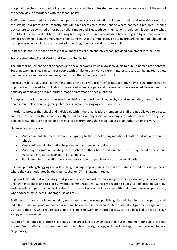If a pupil breaches the school policy then the device will be confiscated and held in a secure place until the end of the school day in accordance with the school policy.

Staff are not permitted to use their own personal devices for contacting children or their families within or outside the setting in a professional capacity and will have access to a school phone where contact is required. Mobile devices are to be switched off or put on silent mode and Bluetooth communication should be 'hidden' or switched off. Mobile devices will not be used during teaching periods unless permission has been given by a member of the Senior Leadership Team in emergency circumstances. Use of a mobile device during break/lunch periods should not be in places where children are present – in the playground or corridors for example.

Staff should not use mobile devices to take images of children and only school provided equipment is to be used.

#### **Social Networking, Social Media and Personal Publishing**

The internet has emerging online spaces and social networks which allow individuals to publish unmediated content. Social networking sites can connect people with similar or even very different interests. Users can be invited to view personal spaces and leave comments, over which there may be limited control.

For responsible adults, social networking sites provide easy to use free facilities, although advertising often intrudes. Pupils are encouraged to think about the ease of uploading personal information, the associated dangers and the difficulty of removing an inappropriate image or information once published.

Examples of social media and personal publishing tools include blogs, wikis, social networking, forums, bulletin boards, multi-player online gaming, chatrooms, instant messaging and many others.

In order to protect the school and individuals within the organisation, members of staff are not allowed to discuss, comment or mention the school directly or indirectly on any social networking sites where these are being used personally (i.e. they are not school sites involved in promoting the school) unless clear authorisation is given.

#### **Under no circumstances**:

- Must comments be made that are derogatory to the school or any member of staff or individual within the school.
- Must confidential information be posted or discussed on any sites
- Must any information relating to the school's affairs be posted on sites this may include operational matters, restructures, changes in personnel etc.
- Should members of staff run social network spaces for pupils to use on a personal basis.

Personal publishing/blogging etc. will be taught via age appropriate sites that are suitable for educational purposes where they are moderated by the class teacher or ICT management team.

Pupils will be advised on security and privacy online and will be encouraged to set passwords, deny access to unknown individuals and to block unwanted communications. Concerns regarding pupils' use of social networking, social media and personal publishing sites (in and out of school) will be raised with their parents/carers, particularly when concerning students' underage use of sites.

Staff personal use of social networking, social media and personal publishing sites will be discussed as part of staff induction. Safe and professional behaviour will be outlined in the school's Acceptable Use Agreement. (*Appendix 3)* Visitors to the site, who require access to the school's network or Internet access, will also be asked to read and sign a copy of this agreement.

As part of the Admissions process, parents/carers are asked to sign an Acceptable Use Agreement for pupils. Parents are required to discuss the agreement with their child and sign a copy which will be kept in their personal folders. *(Appendix 4)*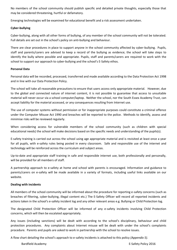No members of the school community should publish specific and detailed private thoughts, especially those that may be considered threatening, hurtful or defamatory.

Emerging technologies will be examined for educational benefit and a risk assessment undertaken.

#### **Cyber-bullying**

Cyber-bullying, along with all other forms of bullying, of any member of the school community will not be tolerated. Full details are set out in the school's policy on anti-bullying and behaviour.

There are clear procedures in place to support anyone in the school community affected by cyber-bullying. Pupils, staff and parents/carers are advised to keep a record of the bullying as evidence; the school will take steps to identify the bully where possible and appropriate. Pupils, staff and parents/carers are required to work with the school to support our approach to cyber-bullying and the school's E-Safety ethos.

#### **Personal Data**

Personal data will be recorded, processed, transferred and made available according to the Data Protection Act 1998 and in line with our Data Protection Policy.

The school will take all reasonable precautions to ensure that users access only appropriate material. However, due to the global and connected nature of internet content, it is not possible to guarantee that access to unsuitable material will never occur via a school computer/laptop. Neither the school, nor the South Essex Academy Trust, can accept liability for the material accessed, or any consequences resulting from Internet use.

The use of computer systems without permission or for inappropriate purposes could constitute a criminal offence under the Computer Misuse Act 1990 and breaches will be reported to the police. Methods to identify, assess and minimise risks will be reviewed regularly.

When considering access for vulnerable members of the school community (such as children with special educational needs) the school will make decisions based on the specific needs and understanding of the pupils(s).

E-safety training is carried out across the school using age appropriate material and is revisited at least once a year for all pupils, with e-safety rules being posted in every classroom. Safe and responsible use of the internet and technology will be reinforced across the curriculum and subject areas.

Up-to-date and appropriate staff training in safe and responsible internet use, both professionally and personally, will be provided for all members of staff.

A partnership approach to e-safety at home and school with parents is encouraged. Information and guidance to parents/carers on e-safety will be made available in a variety of formats, including useful links available on our website.

#### **Dealing with incidents**

All members of the school community will be informed about the procedure for reporting e-safety concerns (such as breaches of filtering, cyber-bullying, illegal content etc.) The E-Safety Officer will record all reported incidents and actions taken in the school's e-safety incident log and any other relevant areas e.g. Bullying or Child Protection log.

The designated Child Protection Officer will be informed of any e-safety incidents involving Child Protection concerns, which will then be escalated appropriately.

Any issues (including sanctions) will be dealt with according to the school's disciplinary, behaviour and child protection procedures. Any complaints about Internet misuse will be dealt with under the school's complaints procedure. Parents and pupils are asked to work in partnership with the school to resolve issues.

A flow chart detailing the school's approach to e-safety incidents is attached to this policy *(Appendix 5).*

Bardfield Academy E-Safety Policy 2016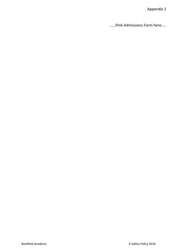Appendix 1

……Pink Admissions Form here…..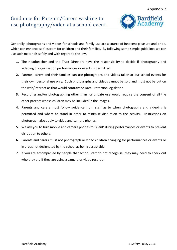

Generally, photographs and videos for schools and family use are a source of innocent pleasure and pride, which can enhance self-esteem for children and their families. By following some simple guidelines we can use such materials safely and with regard to the law.

- **1.** The Headteacher and the Trust Directors have the responsibility to decide if photography and videoing of organisation performances or events is permitted.
- **2.** Parents, carers and their families can use photographs and videos taken at our school events for their own personal use only. Such photographs and videos cannot be sold and must not be put on the web/internet as that would contravene Data Protection legislation.
- **3.** Recording and/or photographing other than for private use would require the consent of all the other parents whose children may be included in the images.
- **4.** Parents and carers must follow guidance from staff as to when photography and videoing is permitted and where to stand in order to minimise disruption to the activity. Restrictions on photograph also apply to video and camera phones.
- **5.** We ask you to turn mobile and camera phones to 'silent' during performances or events to prevent disruption to others.
- **6.** Parents and carers must not photograph or video children changing for performances or events or in areas not designated by the school as being acceptable.
- **7.** If you are accompanied by people that school staff do not recognise, they may need to check out who they are if they are using a camera or video recorder.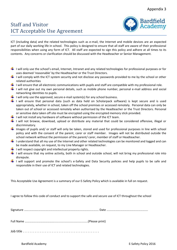### Staff and Visitor ICT Acceptable Use Agreement



ICT (including data) and the related technologies such as e-mail, the Internet and mobile devices are an expected part of our daily working life in school. This policy is designed to ensure that all staff are aware of their professional responsibilities when using any form of ICT. All staff are expected to sign this policy and adhere at all times to its contents. Any concerns or clarification should be discussed with the Headteacher or Senior Management.

- $\blacksquare$  I will only use the school's email, Internet, Intranet and any related technologies for professional purposes or for uses deemed 'reasonable' by the Headteacher or the Trust Directors.
- $\blacksquare$  I will comply with the ICT system security and not disclose any passwords provided to me by the school or other related authorities
- $\ddotplus$  I will ensure that all electronic communications with pupils and staff are compatible with my professional role.
- I will not give out my own personal details, such as mobile phone number, personal e-mail address and social networking identities to pupils.
- $\downarrow$  I will only use the approved, secure e-mail system(s) for any school business.
- $\frac{1}{2}$  I will ensure that personal data (such as data held on Scholarpack software) is kept secure and is used appropriately, whether in school, taken off the school premises or accessed remotely. Personal data can only be taken out of school or accessed remotely when authorised by the Headteacher or the Trust Directors. Personal or sensitive data taken off site must be encrypted using the encrypted memory stick provided.
- $\ddot$  I will not install any hardware of software without permission of the ICT team.
- $\frac{1}{2}$  I will not browse, download, upload or distribute any material that could be considered offensive, illegal or discriminatory.
- Images of pupils and/ or staff will only be taken, stored and used for professional purposes in line with school policy and with the consent of the parent, carer or staff member. Images will not be distributed outside the school network without the permission of the parent/ carer, member of staff or Headteacher.
- $\frac{1}{2}$  I understand that all my use of the Internet and other related technologies can be monitored and logged and can be made available, on request, to my Line Manager or Headteacher.
- $\frac{1}{2}$  I will respect copyright and intellectual property rights.
- $\frac{1}{2}$  I will ensure that my online activity, both in school and outside school, will not bring my professional role into disrepute.
- I will support and promote the school's e-Safety and Data Security policies and help pupils to be safe and responsible in their use of ICT and related technologies.

This Acceptable Use Agreement is a summary of our E-Safety Policy which is available in full on request.

I agree to follow this code of conduct and to support the safe and secure use of ICT throughout the school

Signature …….………………….……………………………………………………………. Date ……………………………………………….

Full Name ………………………………….........................................(Please print)

Job title . . . . . . . . . . . . . . . . . . . . . . . . . . . . . . . . . . . . . . . . . . . . .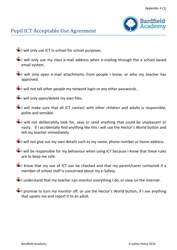

- $\pm$ I will only use ICT in school for school purposes.
- $\pm$ I will only use my class e-mail address when e-mailing through the a school based email system.
- $\frac{1}{2}$ I will only open e-mail attachments from people I know, or who my teacher has approved.
- $\frac{1}{1}$ I will not tell other people my network login or any other passwords.
- $\pm$  I will only open/delete my own files.
- $\pm$ I will make sure that all ICT contact with other children and adults is responsible, polite and sensible.
- $\frac{1}{2}$ I will not deliberately look for, save or send anything that could be unpleasant or nasty. If I accidentally find anything like this I will use the Hector's World button and tell my teacher immediately.
- $\frac{1}{1}$ I will not give out my own details such as my name, phone number or home address.
- $\frac{1}{1}$ I will be responsible for my behaviour when using ICT because I know that these rules are to keep me safe.
- $\frac{1}{2}$ I know that my use of ICT can be checked and that my parent/carer contacted if a member of school staff is concerned about my e-Safety.
- $\Box$  I understand that my teacher can monitor everything I do, or view on the Internet.
- $\blacktriangleright$  I promise to turn my monitor off, or use the Hector's World button, if I see anything that upsets me and report it to an adult.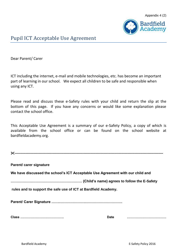

Dear Parent/ Carer

ICT including the internet, e-mail and mobile technologies, etc. has become an important part of learning in our school. We expect all children to be safe and responsible when using any ICT.

Please read and discuss these e-Safety rules with your child and return the slip at the bottom of this page. If you have any concerns or would like some explanation please contact the school office.

This Acceptable Use Agreement is a summary of our e-Safety Policy, a copy of which is available from the school office or can be found on the school website at bardfieldacademy.org.

| $\sim$ |  |
|--------|--|
|        |  |

**Parent/ carer signature**

**We have discussed the school's ICT Acceptable Use Agreement with our child and** 

**…………………………………………………… (Child's name) agrees to follow the E-Safety**

**rules and to support the safe use of ICT at Bardfield Academy.**

**Parent/ Carer Signature …….………………….………………………….** 

**Class …………………………………. Date ………………………………**